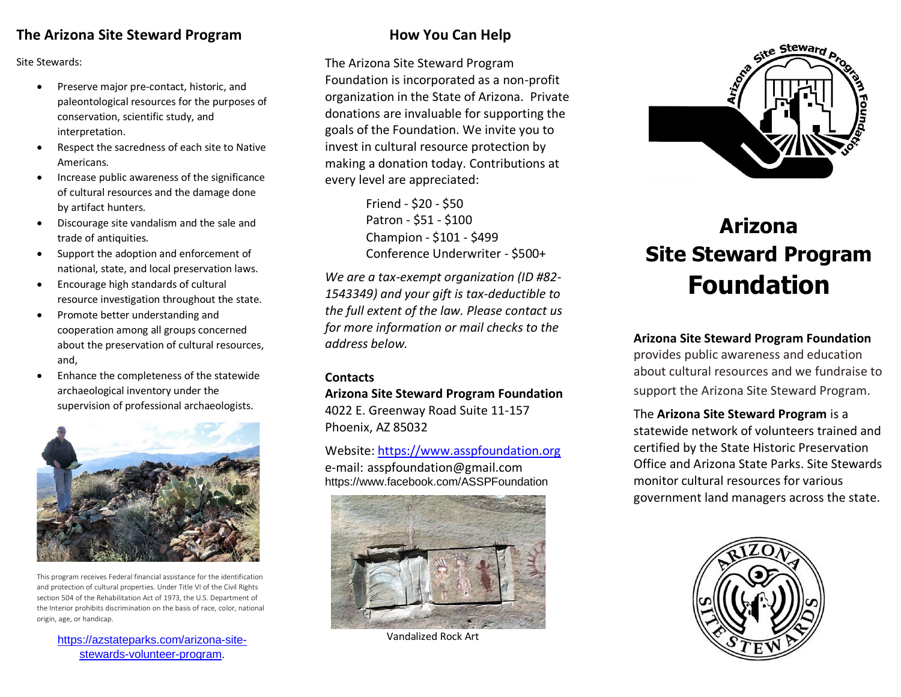# **The Arizona Site Steward Program**

Site Stewards:

- Preserve major pre-contact, historic, and paleontological resources for the purposes of conservation, scientific study, and interpretation.
- Respect the sacredness of each site to Native Americans.
- Increase public awareness of the significance of cultural resources and the damage done by artifact hunters.
- Discourage site vandalism and the sale and trade of antiquities.
- Support the adoption and enforcement of national, state, and local preservation laws.
- Encourage high standards of cultural resource investigation throughout the state.
- Promote better understanding and cooperation among all groups concerned about the preservation of cultural resources, and,
- Enhance the completeness of the statewide archaeological inventory under the supervision of professional archaeologists.



This program receives Federal financial assistance for the identification and protection of cultural properties. Under Title VI of the Civil Rights section 504 of the Rehabilitation Act of 1973, the U.S. Department of the Interior prohibits discrimination on the basis of race, color, national origin, age, or handicap.

[https://azstateparks.com/arizona-site](https://azstateparks.com/arizona-site-stewards-volunteer-program)[stewards-volunteer-program.](https://azstateparks.com/arizona-site-stewards-volunteer-program)

# **How You Can Help**

The Arizona Site Steward Program Foundation is incorporated as a non-profit organization in the State of Arizona. Private donations are invaluable for supporting the goals of the Foundation. We invite you to invest in cultural resource protection by making a donation today. Contributions at every level are appreciated:

> Friend - \$20 - \$50 Patron - \$51 - \$100 Champion - \$101 - \$499 Conference Underwriter - \$500+

*We are a tax-exempt organization (ID #82- 1543349) and your gift is tax-deductible to the full extent of the law. Please contact us for more information or mail checks to the address below.*

### **Contacts**

**Arizona Site Steward Program Foundation** 4022 E. Greenway Road Suite 11-157 Phoenix, AZ 85032

Website: [https://www.asspfoundation.org](https://www.asspfoundation.org/) e-mail: asspfoundation@gmail.com https://www.facebook.com/ASSPFoundation



Vandalized Rock Art



# **Arizona Site Steward Program Foundation**

**Arizona Site Steward Program Foundation** provides public awareness and education about cultural resources and we fundraise to support the Arizona Site Steward Program.

The **Arizona Site Steward Program** is a statewide network of volunteers trained and certified by the State Historic Preservation Office and Arizona State Parks. Site Stewards monitor cultural resources for various government land managers across the state.